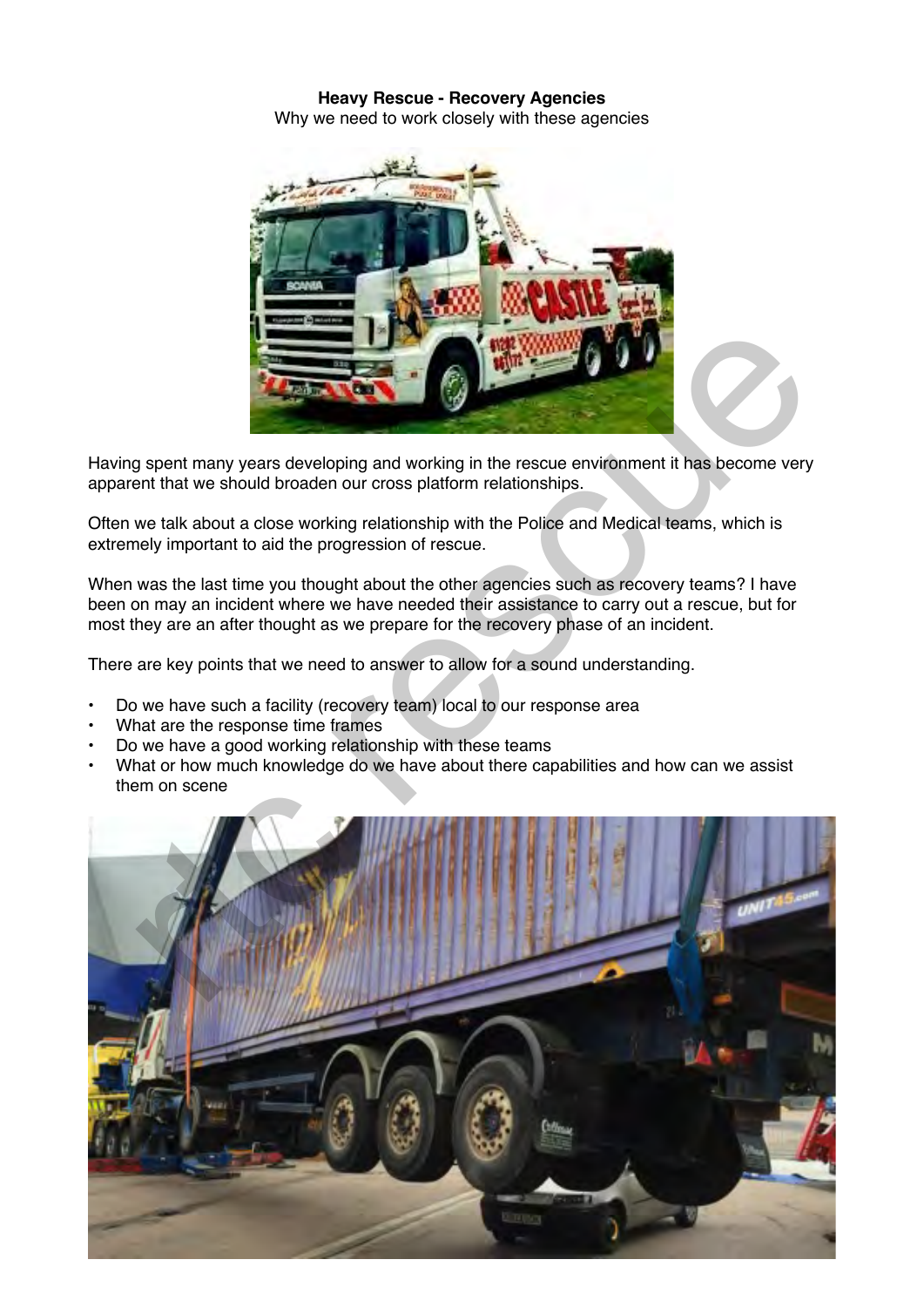## **Heavy Rescue - Recovery Agencies** Why we need to work closely with these agencies



Having spent many years developing and working in the rescue environment it has become very apparent that we should broaden our cross platform relationships.

Often we talk about a close working relationship with the Police and Medical teams, which is extremely important to aid the progression of rescue.

When was the last time you thought about the other agencies such as recovery teams? I have been on may an incident where we have needed their assistance to carry out a rescue, but for most they are an after thought as we prepare for the recovery phase of an incident.

There are key points that we need to answer to allow for a sound understanding.

- Do we have such a facility (recovery team) local to our response area
- What are the response time frames
- Do we have a good working relationship with these teams
- What or how much knowledge do we have about there capabilities and how can we assist them on scene

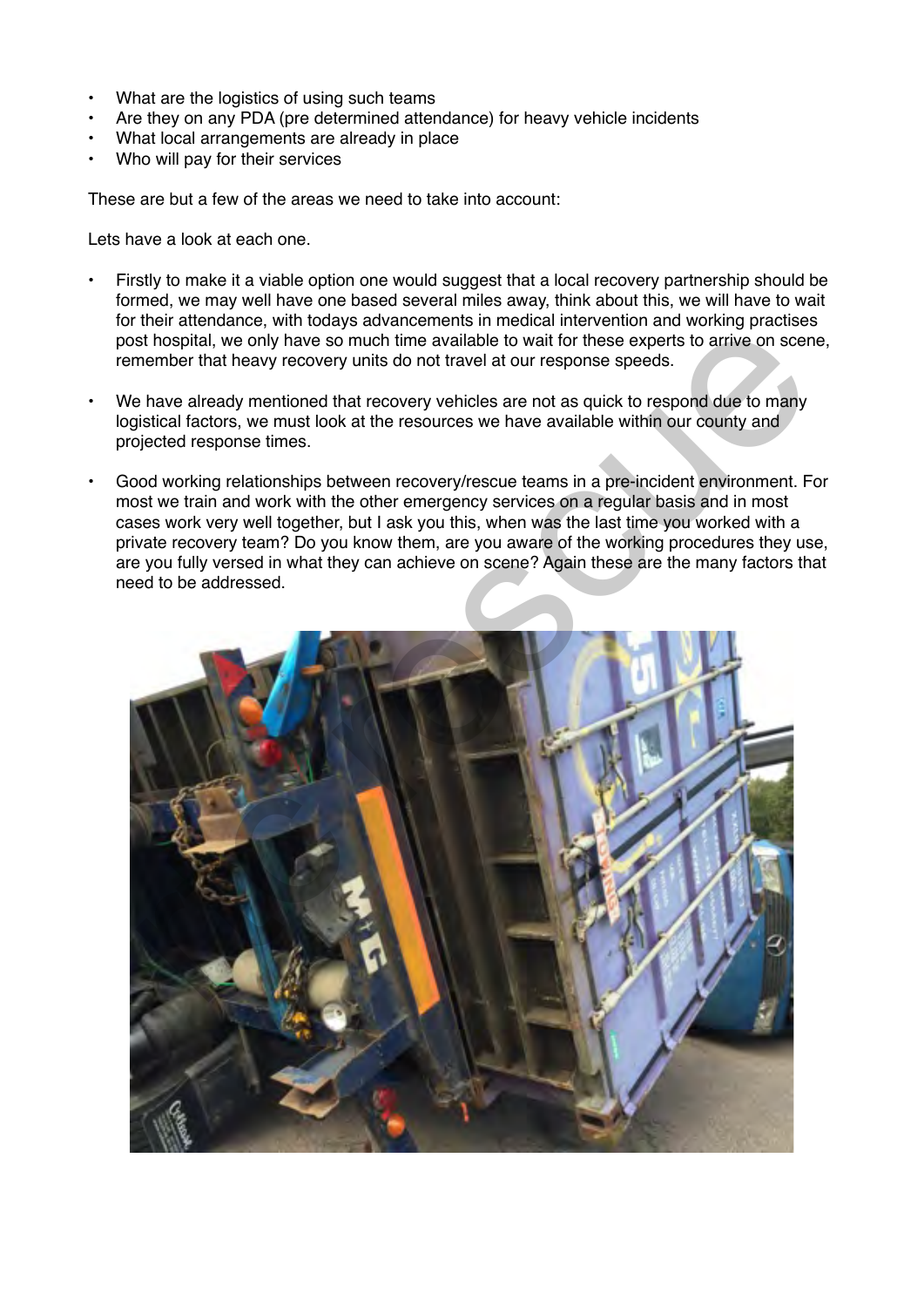- What are the logistics of using such teams
- Are they on any PDA (pre determined attendance) for heavy vehicle incidents
- What local arrangements are already in place
- Who will pay for their services

These are but a few of the areas we need to take into account:

Lets have a look at each one.

- Firstly to make it a viable option one would suggest that a local recovery partnership should be formed, we may well have one based several miles away, think about this, we will have to wait for their attendance, with todays advancements in medical intervention and working practises post hospital, we only have so much time available to wait for these experts to arrive on scene, remember that heavy recovery units do not travel at our response speeds.
- We have already mentioned that recovery vehicles are not as quick to respond due to many logistical factors, we must look at the resources we have available within our county and projected response times.
- Good working relationships between recovery/rescue teams in a pre-incident environment. For most we train and work with the other emergency services on a regular basis and in most cases work very well together, but I ask you this, when was the last time you worked with a private recovery team? Do you know them, are you aware of the working procedures they use, are you fully versed in what they can achieve on scene? Again these are the many factors that need to be addressed.

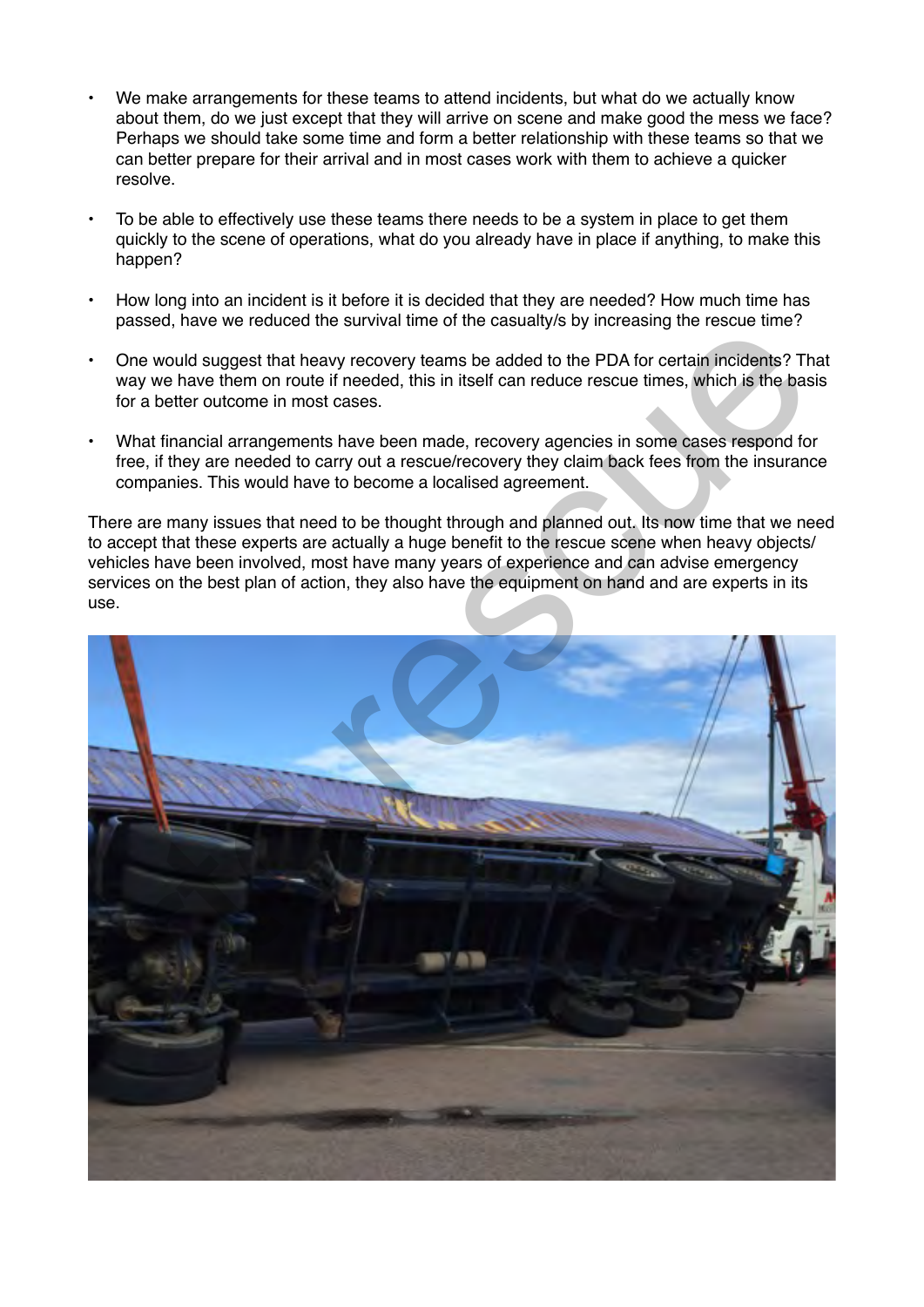- We make arrangements for these teams to attend incidents, but what do we actually know about them, do we just except that they will arrive on scene and make good the mess we face? Perhaps we should take some time and form a better relationship with these teams so that we can better prepare for their arrival and in most cases work with them to achieve a quicker resolve.
- To be able to effectively use these teams there needs to be a system in place to get them quickly to the scene of operations, what do you already have in place if anything, to make this happen?
- How long into an incident is it before it is decided that they are needed? How much time has passed, have we reduced the survival time of the casualty/s by increasing the rescue time?
- One would suggest that heavy recovery teams be added to the PDA for certain incidents? That way we have them on route if needed, this in itself can reduce rescue times, which is the basis for a better outcome in most cases.
- What financial arrangements have been made, recovery agencies in some cases respond for free, if they are needed to carry out a rescue/recovery they claim back fees from the insurance companies. This would have to become a localised agreement.

There are many issues that need to be thought through and planned out. Its now time that we need to accept that these experts are actually a huge benefit to the rescue scene when heavy objects/ vehicles have been involved, most have many years of experience and can advise emergency services on the best plan of action, they also have the equipment on hand and are experts in its use.